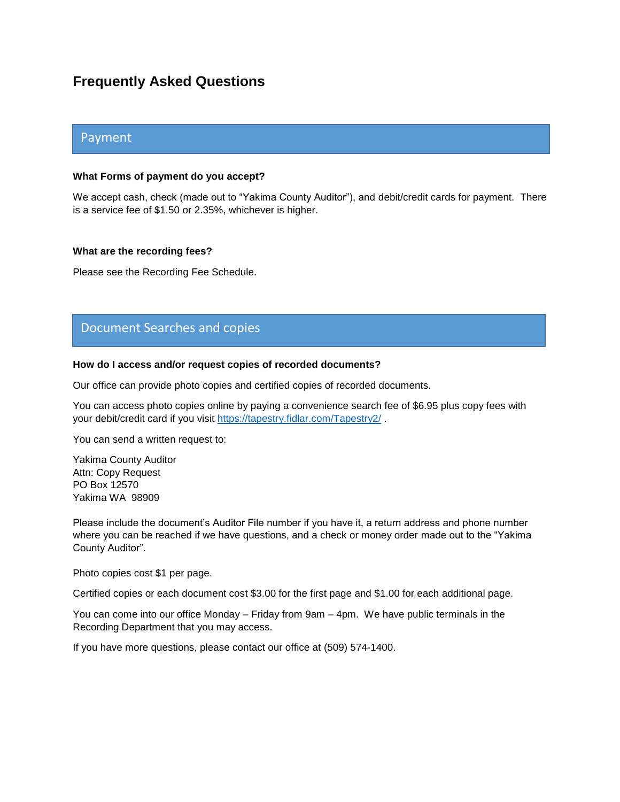# **Frequently Asked Questions**

# Payment

# **What Forms of payment do you accept?**

We accept cash, check (made out to "Yakima County Auditor"), and debit/credit cards for payment. There is a service fee of \$1.50 or 2.35%, whichever is higher.

## **What are the recording fees?**

Please see the Recording Fee Schedule.

# Document Searches and copies

# **How do I access and/or request copies of recorded documents?**

Our office can provide photo copies and certified copies of recorded documents.

You can access photo copies online by paying a convenience search fee of \$6.95 plus copy fees with your debit/credit card if you visit<https://tapestry.fidlar.com/Tapestry2/> .

You can send a written request to:

Yakima County Auditor Attn: Copy Request PO Box 12570 Yakima WA 98909

Please include the document's Auditor File number if you have it, a return address and phone number where you can be reached if we have questions, and a check or money order made out to the "Yakima County Auditor".

Photo copies cost \$1 per page.

Certified copies or each document cost \$3.00 for the first page and \$1.00 for each additional page.

You can come into our office Monday – Friday from 9am – 4pm. We have public terminals in the Recording Department that you may access.

If you have more questions, please contact our office at (509) 574-1400.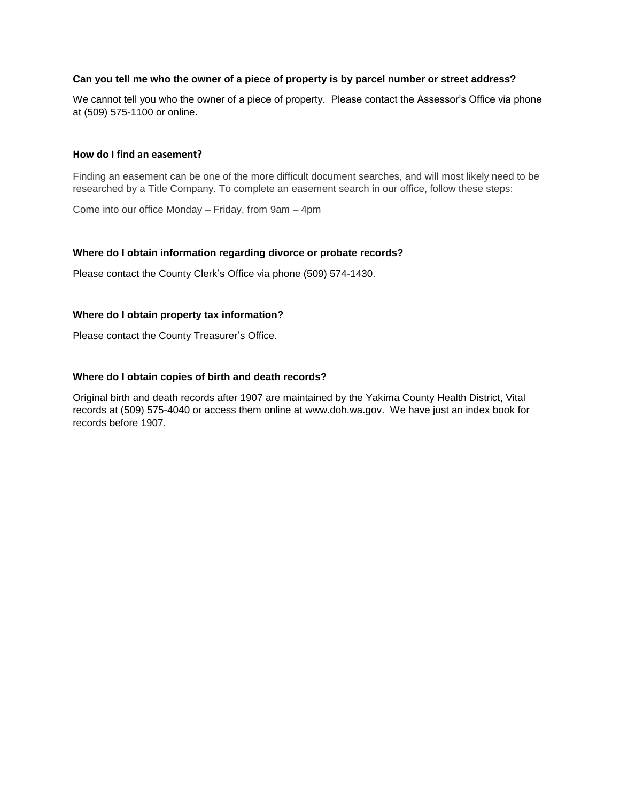# **Can you tell me who the owner of a piece of property is by parcel number or street address?**

We cannot tell you who the owner of a piece of property. Please contact the Assessor's Office via phone at (509) 575-1100 or online.

#### **How do I find an easement?**

Finding an easement can be one of the more difficult document searches, and will most likely need to be researched by a Title Company. To complete an easement search in our office, follow these steps:

Come into our office Monday – Friday, from 9am – 4pm

## **Where do I obtain information regarding divorce or probate records?**

Please contact the County Clerk's Office via phone (509) 574-1430.

#### **Where do I obtain property tax information?**

Please contact the County Treasurer's Office.

#### **Where do I obtain copies of birth and death records?**

Original birth and death records after 1907 are maintained by the Yakima County Health District, Vital records at (509) 575-4040 or access them online at www.doh.wa.gov. We have just an index book for records before 1907.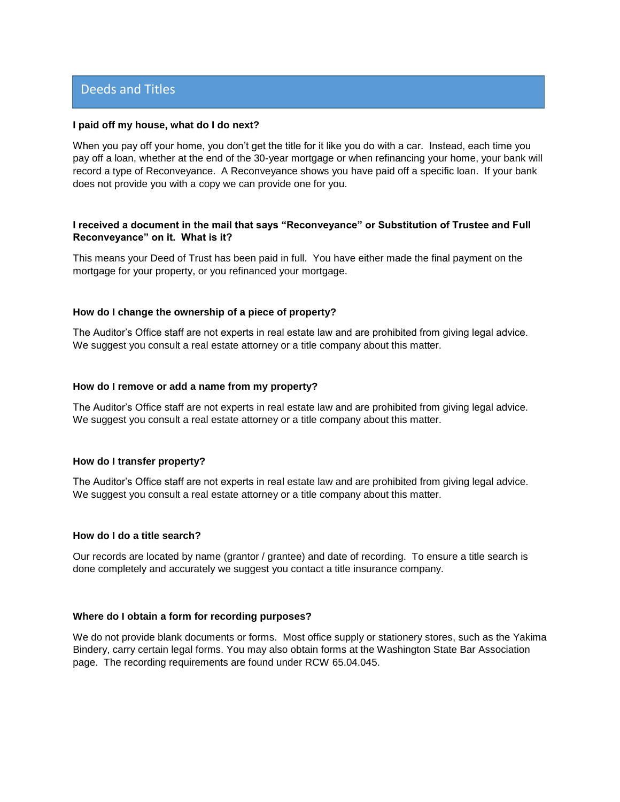# Deeds and Titles

#### **I paid off my house, what do I do next?**

When you pay off your home, you don't get the title for it like you do with a car. Instead, each time you pay off a loan, whether at the end of the 30-year mortgage or when refinancing your home, your bank will record a type of Reconveyance. A Reconveyance shows you have paid off a specific loan. If your bank does not provide you with a copy we can provide one for you.

## **I received a document in the mail that says "Reconveyance" or Substitution of Trustee and Full Reconveyance" on it. What is it?**

This means your Deed of Trust has been paid in full. You have either made the final payment on the mortgage for your property, or you refinanced your mortgage.

#### **How do I change the ownership of a piece of property?**

The Auditor's Office staff are not experts in real estate law and are prohibited from giving legal advice. We suggest you consult a real estate attorney or a title company about this matter.

#### **How do I remove or add a name from my property?**

The Auditor's Office staff are not experts in real estate law and are prohibited from giving legal advice. We suggest you consult a real estate attorney or a title company about this matter.

#### **How do I transfer property?**

The Auditor's Office staff are not experts in real estate law and are prohibited from giving legal advice. We suggest you consult a real estate attorney or a title company about this matter.

# **How do I do a title search?**

Our records are located by name (grantor / grantee) and date of recording. To ensure a title search is done completely and accurately we suggest you contact a title insurance company.

#### **Where do I obtain a form for recording purposes?**

We do not provide blank documents or forms. Most office supply or stationery stores, such as the Yakima Bindery, carry certain legal forms. You may also obtain forms at the Washington State Bar Association page. The recording requirements are found under RCW 65.04.045.